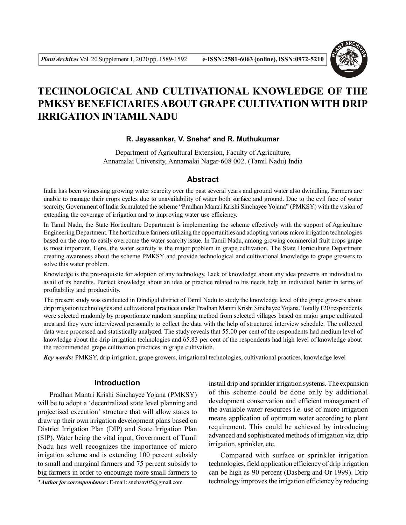

# **TECHNOLOGICAL AND CULTIVATIONAL KNOWLEDGE OF THE PMKSY BENEFICIARIES ABOUT GRAPE CULTIVATION WITH DRIP IRRIGATION IN TAMIL NADU**

#### **R. Jayasankar, V. Sneha\* and R. Muthukumar**

Department of Agricultural Extension, Faculty of Agriculture, Annamalai University, Annamalai Nagar-608 002. (Tamil Nadu) India

## **Abstract**

India has been witnessing growing water scarcity over the past several years and ground water also dwindling. Farmers are unable to manage their crops cycles due to unavailability of water both surface and ground. Due to the evil face of water scarcity, Government of India formulated the scheme "Pradhan Mantri Krishi Sinchayee Yojana" (PMKSY) with the vision of extending the coverage of irrigation and to improving water use efficiency.

In Tamil Nadu, the State Horticulture Department is implementing the scheme effectively with the support of Agriculture Engineering Department. The horticulture farmers utilizing the opportunities and adopting various micro irrigation technologies based on the crop to easily overcome the water scarcity issue. In Tamil Nadu, among growing commercial fruit crops grape is most important. Here, the water scarcity is the major problem in grape cultivation. The State Horticulture Department creating awareness about the scheme PMKSY and provide technological and cultivational knowledge to grape growers to solve this water problem.

Knowledge is the pre-requisite for adoption of any technology. Lack of knowledge about any idea prevents an individual to avail of its benefits. Perfect knowledge about an idea or practice related to his needs help an individual better in terms of profitability and productivity.

The present study was conducted in Dindigul district of Tamil Nadu to study the knowledge level of the grape growers about drip irrigation technologies and cultivational practices under Pradhan Mantri Krishi Sinchayee Yojana. Totally 120 respondents were selected randomly by proportionate random sampling method from selected villages based on major grape cultivated area and they were interviewed personally to collect the data with the help of structured interview schedule. The collected data were processed and statistically analyzed. The study reveals that 55.00 per cent of the respondents had medium level of knowledge about the drip irrigation technologies and 65.83 per cent of the respondents had high level of knowledge about the recommended grape cultivation practices in grape cultivation.

*Key words:* PMKSY, drip irrigation, grape growers, irrigational technologies, cultivational practices, knowledge level

## **Introduction**

Pradhan Mantri Krishi Sinchayee Yojana (PMKSY) will be to adopt a 'decentralized state level planning and projectised execution' structure that will allow states to draw up their own irrigation development plans based on District Irrigation Plan (DIP) and State Irrigation Plan (SIP). Water being the vital input, Government of Tamil Nadu has well recognizes the importance of micro irrigation scheme and is extending 100 percent subsidy to small and marginal farmers and 75 percent subsidy to big farmers in order to encourage more small farmers to

*\*Author for correspondence :* E-mail : snehaav05@gmail.com

install drip and sprinkler irrigation systems. The expansion of this scheme could be done only by additional development conservation and efficient management of the available water resources i.e. use of micro irrigation means application of optimum water according to plant requirement. This could be achieved by introducing advanced and sophisticated methods of irrigation viz. drip irrigation, sprinkler, etc.

Compared with surface or sprinkler irrigation technologies, field application efficiency of drip irrigation can be high as 90 percent (Dasberg and Or 1999). Drip technology improves the irrigation efficiency by reducing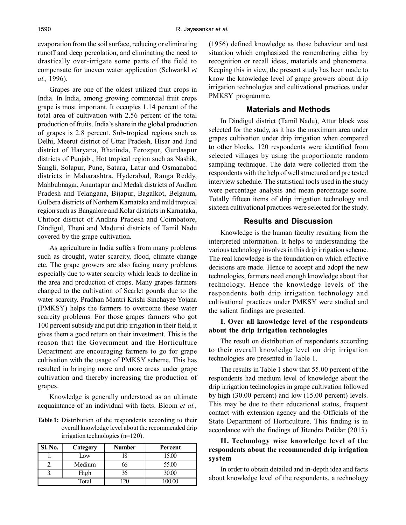evaporation from the soil surface, reducing or eliminating runoff and deep percolation, and eliminating the need to drastically over-irrigate some parts of the field to compensate for uneven water application (Schwankl *et al.,* 1996).

Grapes are one of the oldest utilized fruit crops in India. In India, among growing commercial fruit crops grape is most important. It occupies 1.14 percent of the total area of cultivation with 2.56 percent of the total production of fruits. India's share in the global production of grapes is 2.8 percent. Sub-tropical regions such as Delhi, Meerut district of Uttar Pradesh, Hisar and Jind district of Haryana, Bhatinda, Ferozpur, Gurdaspur districts of Punjab , Hot tropical region such as Nashik, Sangli, Solapur, Pune, Satara, Latur and Osmanabad districts in Maharashtra, Hyderabad, Ranga Reddy, Mahbubnagar, Anantapur and Medak districts of Andhra Pradesh and Telangana, Bijapur, Bagalkot, Belgaum, Gulbera districts of Northern Karnataka and mild tropical region such as Bangalore and Kolar districts in Karnataka, Chitoor district of Andhra Pradesh and Coimbatore, Dindigul, Theni and Madurai districts of Tamil Nadu covered by the grape cultivation.

As agriculture in India suffers from many problems such as drought, water scarcity, flood, climate change etc. The grape growers are also facing many problems especially due to water scarcity which leads to decline in the area and production of crops. Many grapes farmers changed to the cultivation of Scarlet gourds due to the water scarcity. Pradhan Mantri Krishi Sinchayee Yojana (PMKSY) helps the farmers to overcome these water scarcity problems. For those grapes farmers who got 100 percent subsidy and put drip irrigation in their field, it gives them a good return on their investment. This is the reason that the Government and the Horticulture Department are encouraging farmers to go for grape cultivation with the usage of PMKSY scheme. This has resulted in bringing more and more areas under grape cultivation and thereby increasing the production of grapes.

Knowledge is generally understood as an ultimate acquaintance of an individual with facts. Bloom *et al.,*

**Table 1:** Distribution of the respondents according to their overall knowledge level about the recommended drip irrigation technologies (n=120).

| Sl. No. | Category | <b>Number</b> | Percent |
|---------|----------|---------------|---------|
|         | Low      | 18            | 15.00   |
|         | Medium   |               | 55.00   |
|         | High     | 36            | 30.00   |
|         | Total    |               |         |

(1956) defined knowledge as those behaviour and test situation which emphasized the remembering either by recognition or recall ideas, materials and phenomena. Keeping this in view, the present study has been made to know the knowledge level of grape growers about drip irrigation technologies and cultivational practices under PMKSY programme.

#### **Materials and Methods**

In Dindigul district (Tamil Nadu), Attur block was selected for the study, as it has the maximum area under grapes cultivation under drip irrigation when compared to other blocks. 120 respondents were identified from selected villages by using the proportionate random sampling technique. The data were collected from the respondents with the help of well structured and pre tested interview schedule. The statistical tools used in the study were percentage analysis and mean percentage score. Totally fifteen items of drip irrigation technology and sixteen cultivational practices were selected for the study.

#### **Results and Discussion**

Knowledge is the human faculty resulting from the interpreted information. It helps to understanding the various technology involves in this drip irrigation scheme. The real knowledge is the foundation on which effective decisions are made. Hence to accept and adopt the new technologies, farmers need enough knowledge about that technology. Hence the knowledge levels of the respondents both drip irrigation technology and cultivational practices under PMKSY were studied and the salient findings are presented.

#### **I. Over all knowledge level of the respondents about the drip irrigation technologies**

The result on distribution of respondents according to their overall knowledge level on drip irrigation technologies are presented in Table 1.

The results in Table 1 show that 55.00 percent of the respondents had medium level of knowledge about the drip irrigation technologies in grape cultivation followed by high (30.00 percent) and low (15.00 percent) levels. This may be due to their educational status, frequent contact with extension agency and the Officials of the State Department of Horticulture. This finding is in accordance with the findings of Jitendra Patidar (2015)

## **II. Technology wise knowledge level of the respondents about the recommended drip irrigation system**

In order to obtain detailed and in-depth idea and facts about knowledge level of the respondents, a technology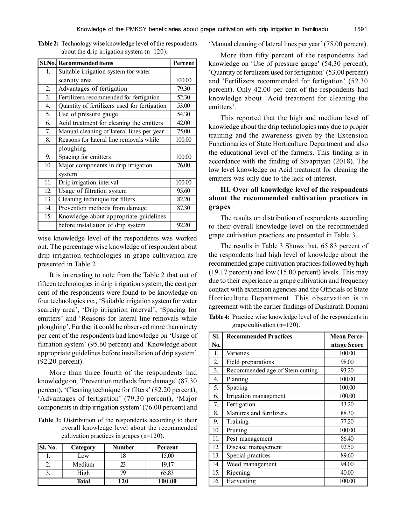|                   | Sl.No. Recommended items                     | Percent |
|-------------------|----------------------------------------------|---------|
| 1.                | Suitable irrigation system for water         |         |
|                   | scarcity area                                | 100.00  |
| 2.                | Advantages of fertigation                    | 79.30   |
| 3.                | Fertilizers recommended for fertigation      | 52.30   |
| 4.                | Quantity of fertilizers used for fertigation | 53.00   |
| 5.                | Use of pressure gauge                        | 54.30   |
| 6.                | Acid treatment for cleaning the emitters     | 42.00   |
| 7.                | Manual cleaning of lateral lines per year    | 75.00   |
| 8.                | Reasons for lateral line removals while      | 100.00  |
|                   | ploughing                                    |         |
| 9.                | Spacing for emitters                         | 100.00  |
| 10.               | Major components in drip irrigation          | 76.00   |
|                   | system                                       |         |
| $\overline{11}$ . | Drip irrigation interval                     | 100.00  |
| 12.               | Usage of filtration system                   | 95.60   |
| 13.               | Cleaning technique for filters               | 82.20   |
| 14.               | Prevention methods from damage               | 87.30   |
| 15.               | Knowledge about appropriate guidelines       |         |
|                   | before installation of drip system           | 92.20   |

**Table 2:** Technology wise knowledge level of the respondents about the drip irrigation system (n=120).

wise knowledge level of the respondents was worked out. The percentage wise knowledge of respondent about drip irrigation technologies in grape cultivation are presented in Table 2.

It is interesting to note from the Table 2 that out of fifteen technologies in drip irrigation system, the cent per cent of the respondents were found to be knowledge on four technologies *viz.,* 'Suitable irrigation system for water scarcity area', 'Drip irrigation interval', 'Spacing for emitters' and 'Reasons for lateral line removals while ploughing'. Further it could be observed more than ninety per cent of the respondents had knowledge on 'Usage of filtration system' (95.60 percent) and 'Knowledge about appropriate guidelines before installation of drip system' (92.20 percent).

More than three fourth of the respondents had knowledge on, 'Prevention methods from damage' (87.30 percent), 'Cleaning technique for filters' (82.20 percent), 'Advantages of fertigation' (79.30 percent), 'Major components in drip irrigation system' (76.00 percent) and

**Table 3:** Distribution of the respondents according to their overall knowledge level about the recommended cultivation practices in grapes (n=120).

| Sl. No. | Category     | <b>Number</b> | Percent |
|---------|--------------|---------------|---------|
|         | Low          | l8            | 15.00   |
|         | Medium       |               | 19.17   |
|         | High         | 74            | 65.83   |
|         | <b>Total</b> | 120           | 100.00  |

'Manual cleaning of lateral lines per year' (75.00 percent).

More than fifty percent of the respondents had knowledge on 'Use of pressure gauge' (54.30 percent), 'Quantity of fertilizers used for fertigation' (53.00 percent) and 'Fertilizers recommended for fertigation' (52.30 percent). Only 42.00 per cent of the respondents had knowledge about 'Acid treatment for cleaning the emitters'.

This reported that the high and medium level of knowledge about the drip technologies may due to proper training and the awareness given by the Extension Functionaries of State Horticulture Department and also the educational level of the farmers. This finding is in accordance with the finding of Sivapriyan (2018). The low level knowledge on Acid treatment for cleaning the emitters was only due to the lack of interest.

## **III. Over all knowledge level of the respondents about the recommended cultivation practices in grapes**

The results on distribution of respondents according to their overall knowledge level on the recommended grape cultivation practices are presented in Table 3.

The results in Table 3 Shows that, 65.83 percent of the respondents had high level of knowledge about the recommended grape cultivation practices followed by high (19.17 percent) and low (15.00 percent) levels. This may due to their experience in grape cultivation and frequency contact with extension agencies and the Officials of State Horticulture Department. This observation is in agreement with the earlier findings of Dasharath Domani

**Table 4:** Practice wise knowledge level of the respondents in grape cultivation (n=120).

| SI. | <b>Recommended Practices</b>    | <b>Mean Perce-</b> |
|-----|---------------------------------|--------------------|
| No. |                                 | ntage Score        |
| 1.  | Varieties                       | 100.00             |
| 2.  | Field preparations              | 98.00              |
| 3.  | Recommended age of Stem cutting | 93.20              |
| 4.  | Planting                        | 100.00             |
| 5.  | Spacing                         | 100.00             |
| 6.  | Irrigation management           | 100.00             |
| 7.  | Fertigation                     | 43.20              |
| 8.  | Manures and fertilizers         | 88.30              |
| 9.  | Training                        | 77.20              |
| 10. | Pruning                         | 100.00             |
| 11. | Pest management                 | 86.40              |
| 12. | Disease management              | 92.50              |
| 13. | Special practices               | 89.60              |
| 14. | Weed management                 | 94.00              |
| 15. | Ripening                        | 40.00              |
| 16. | Harvesting                      | 100.00             |